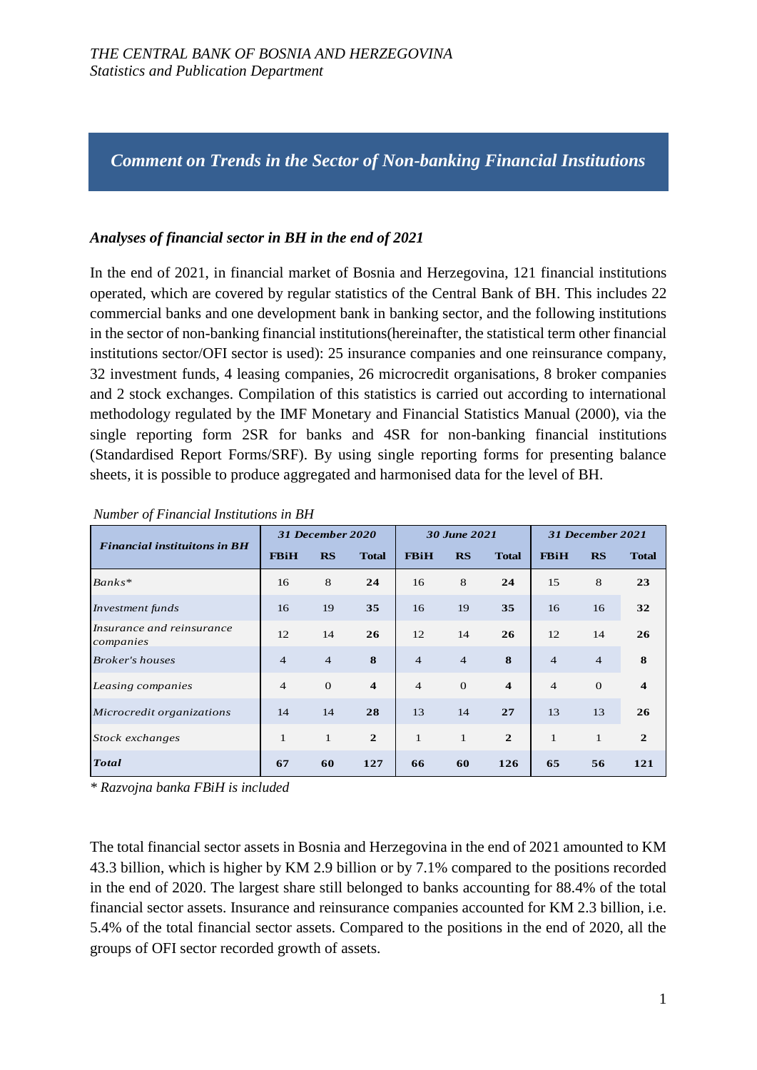*Comment on Trends in the Sector of Non-banking Financial Institutions*

# *Analyses of financial sector in BH in the end of 2021*

In the end of 2021, in financial market of Bosnia and Herzegovina, 121 financial institutions operated, which are covered by regular statistics of the Central Bank of BH. This includes 22 commercial banks and one development bank in banking sector, and the following institutions in the sector of non-banking financial institutions(hereinafter, the statistical term other financial institutions sector/OFI sector is used): 25 insurance companies and one reinsurance company, 32 investment funds, 4 leasing companies, 26 microcredit organisations, 8 broker companies and 2 stock exchanges. Compilation of this statistics is carried out according to international methodology regulated by the IMF Monetary and Financial Statistics Manual (2000), via the single reporting form 2SR for banks and 4SR for non-banking financial institutions (Standardised Report Forms/SRF). By using single reporting forms for presenting balance sheets, it is possible to produce aggregated and harmonised data for the level of BH.

|                                        | 31 December 2020 |                |                         | 30 June 2021   |                |                         | 31 December 2021 |                |                         |
|----------------------------------------|------------------|----------------|-------------------------|----------------|----------------|-------------------------|------------------|----------------|-------------------------|
| <b>Financial instituitons in BH</b>    | <b>FBiH</b>      | <b>RS</b>      | <b>Total</b>            | <b>FBiH</b>    | RS             | <b>Total</b>            | <b>FBiH</b>      | <b>RS</b>      | <b>Total</b>            |
| Banks*                                 | 16               | 8              | 24                      | 16             | 8              | 24                      | 15               | 8              | 23                      |
| Investment funds                       | 16               | 19             | 35                      | 16             | 19             | 35                      | 16               | 16             | 32                      |
| Insurance and reinsurance<br>companies | 12               | 14             | 26                      | 12             | 14             | 26                      | 12               | 14             | 26                      |
| <b>Broker's houses</b>                 | $\overline{4}$   | $\overline{4}$ | 8                       | $\overline{4}$ | $\overline{4}$ | 8                       | $\overline{4}$   | $\overline{4}$ | 8                       |
| Leasing companies                      | $\overline{4}$   | $\Omega$       | $\overline{\mathbf{4}}$ | $\overline{4}$ | $\theta$       | $\overline{\mathbf{4}}$ | $\overline{4}$   | $\Omega$       | $\overline{\mathbf{4}}$ |
| Microcredit organizations              | 14               | 14             | 28                      | 13             | 14             | 27                      | 13               | 13             | 26                      |
| Stock exchanges                        | 1                | $\mathbf{1}$   | $\mathbf{2}$            | $\mathbf{1}$   | $\mathbf{1}$   | $\overline{2}$          | $\mathbf{1}$     | $\mathbf{1}$   | $\mathbf{2}$            |
| <b>Total</b>                           | 67               | 60             | 127                     | 66             | 60             | 126                     | 65               | 56             | 121                     |

*Number of Financial Institutions in BH*

*\* Razvojna banka FBiH is included*

The total financial sector assets in Bosnia and Herzegovina in the end of 2021 amounted to KM 43.3 billion, which is higher by KM 2.9 billion or by 7.1% compared to the positions recorded in the end of 2020. The largest share still belonged to banks accounting for 88.4% of the total financial sector assets. Insurance and reinsurance companies accounted for KM 2.3 billion, i.e. 5.4% of the total financial sector assets. Compared to the positions in the end of 2020, all the groups of OFI sector recorded growth of assets.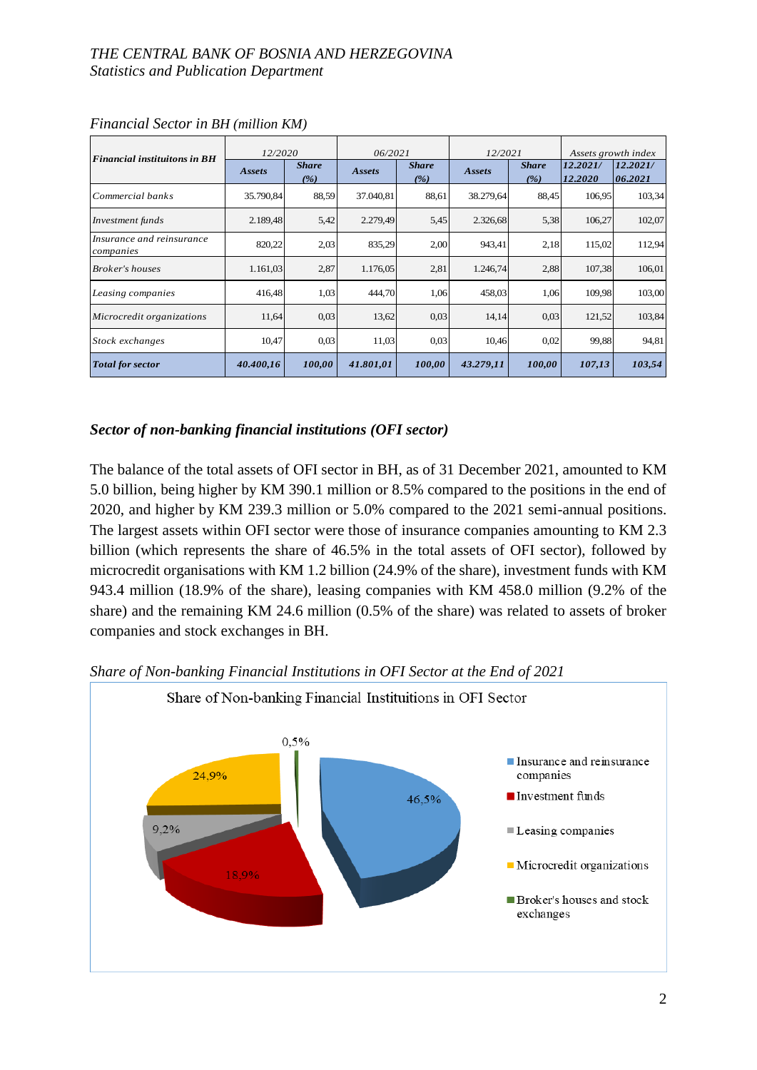### *THE CENTRAL BANK OF BOSNIA AND HERZEGOVINA Statistics and Publication Department*

| <b>Financial instituitons in BH</b>    | 12/2020   |                     | 06/2021   |                     | 12/2021   |                     | Assets growth index |                     |
|----------------------------------------|-----------|---------------------|-----------|---------------------|-----------|---------------------|---------------------|---------------------|
|                                        | Assets    | <b>Share</b><br>(%) | Assets    | <b>Share</b><br>(%) | Assets    | <b>Share</b><br>(%) | 12.2021/<br>12.2020 | 12.2021/<br>06.2021 |
| Commercial banks                       | 35.790,84 | 88,59               | 37.040,81 | 88.61               | 38.279,64 | 88,45               | 106,95              | 103,34              |
| Investment funds                       | 2.189,48  | 5,42                | 2.279,49  | 5.45                | 2.326,68  | 5,38                | 106,27              | 102,07              |
| Insurance and reinsurance<br>companies | 820,22    | 2,03                | 835,29    | 2,00                | 943,41    | 2,18                | 115,02              | 112,94              |
| <b>Broker's houses</b>                 | 1.161,03  | 2,87                | 1.176,05  | 2,81                | 1.246,74  | 2,88                | 107,38              | 106,01              |
| Leasing companies                      | 416,48    | 1,03                | 444,70    | 1,06                | 458,03    | 1,06                | 109,98              | 103,00              |
| Microcredit organizations              | 11,64     | 0.03                | 13,62     | 0,03                | 14,14     | 0,03                | 121,52              | 103,84              |
| Stock exchanges                        | 10,47     | 0.03                | 11,03     | 0.03                | 10,46     | 0,02                | 99,88               | 94,81               |
| <b>Total for sector</b>                | 40.400,16 | 100,00              | 41.801,01 | 100,00              | 43.279,11 | 100,00              | 107,13              | 103,54              |

*Financial Sector in BH (million KM)*

# *Sector of non-banking financial institutions (OFI sector)*

The balance of the total assets of OFI sector in BH, as of 31 December 2021, amounted to KM 5.0 billion, being higher by KM 390.1 million or 8.5% compared to the positions in the end of 2020, and higher by KM 239.3 million or 5.0% compared to the 2021 semi-annual positions. The largest assets within OFI sector were those of insurance companies amounting to KM 2.3 billion (which represents the share of 46.5% in the total assets of OFI sector), followed by microcredit organisations with KM 1.2 billion (24.9% of the share), investment funds with KM 943.4 million (18.9% of the share), leasing companies with KM 458.0 million (9.2% of the share) and the remaining KM 24.6 million (0.5% of the share) was related to assets of broker companies and stock exchanges in BH.



*Share of Non-banking Financial Institutions in OFI Sector at the End of 2021*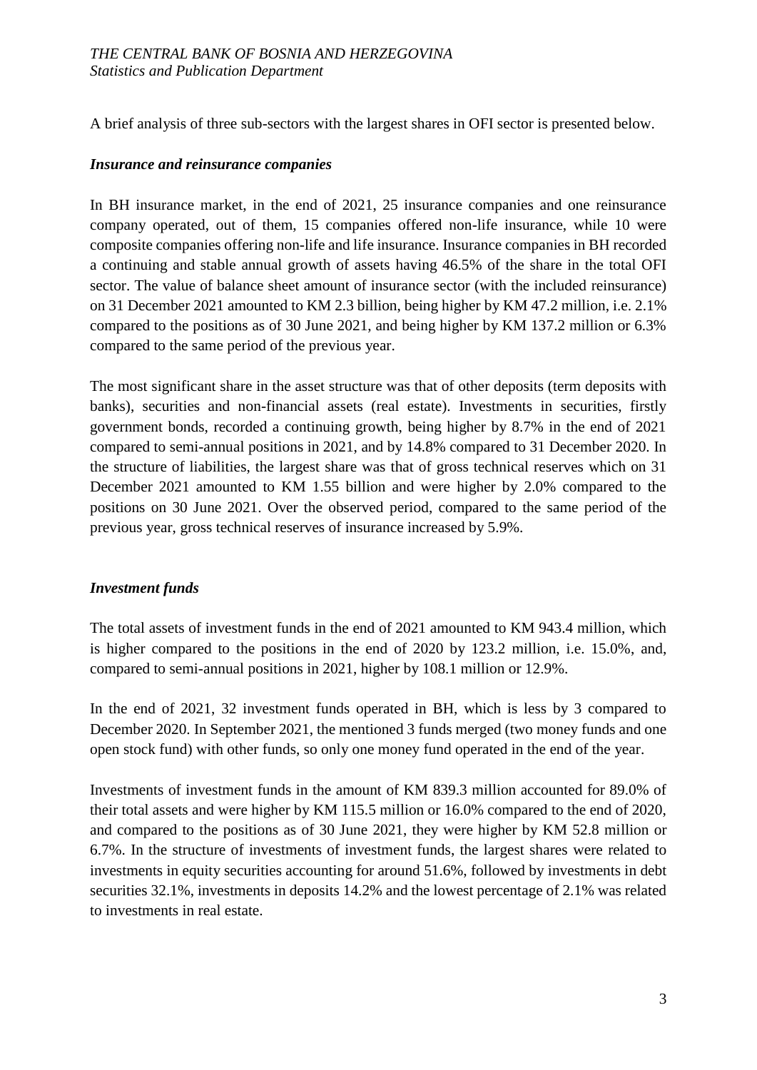A brief analysis of three sub-sectors with the largest shares in OFI sector is presented below.

#### *Insurance and reinsurance companies*

In BH insurance market, in the end of 2021, 25 insurance companies and one reinsurance company operated, out of them, 15 companies offered non-life insurance, while 10 were composite companies offering non-life and life insurance. Insurance companies in BH recorded a continuing and stable annual growth of assets having 46.5% of the share in the total OFI sector. The value of balance sheet amount of insurance sector (with the included reinsurance) on 31 December 2021 amounted to KM 2.3 billion, being higher by KM 47.2 million, i.e. 2.1% compared to the positions as of 30 June 2021, and being higher by KM 137.2 million or 6.3% compared to the same period of the previous year.

The most significant share in the asset structure was that of other deposits (term deposits with banks), securities and non-financial assets (real estate). Investments in securities, firstly government bonds, recorded a continuing growth, being higher by 8.7% in the end of 2021 compared to semi-annual positions in 2021, and by 14.8% compared to 31 December 2020. In the structure of liabilities, the largest share was that of gross technical reserves which on 31 December 2021 amounted to KM 1.55 billion and were higher by 2.0% compared to the positions on 30 June 2021. Over the observed period, compared to the same period of the previous year, gross technical reserves of insurance increased by 5.9%.

### *Investment funds*

The total assets of investment funds in the end of 2021 amounted to KM 943.4 million, which is higher compared to the positions in the end of 2020 by 123.2 million, i.e. 15.0%, and, compared to semi-annual positions in 2021, higher by 108.1 million or 12.9%.

In the end of 2021, 32 investment funds operated in BH, which is less by 3 compared to December 2020. In September 2021, the mentioned 3 funds merged (two money funds and one open stock fund) with other funds, so only one money fund operated in the end of the year.

Investments of investment funds in the amount of KM 839.3 million accounted for 89.0% of their total assets and were higher by KM 115.5 million or 16.0% compared to the end of 2020, and compared to the positions as of 30 June 2021, they were higher by KM 52.8 million or 6.7%. In the structure of investments of investment funds, the largest shares were related to investments in equity securities accounting for around 51.6%, followed by investments in debt securities 32.1%, investments in deposits 14.2% and the lowest percentage of 2.1% was related to investments in real estate.